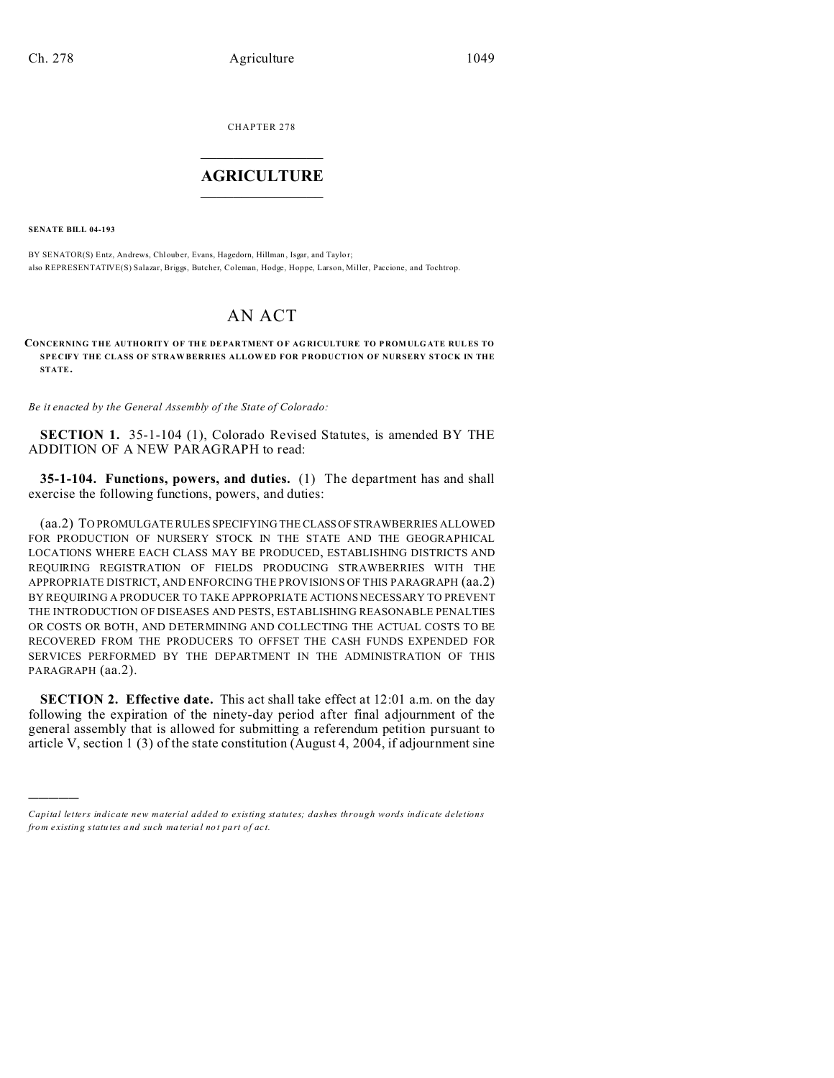CHAPTER 278  $\overline{\phantom{a}}$  , where  $\overline{\phantom{a}}$ 

## **AGRICULTURE**  $\_$   $\_$   $\_$   $\_$   $\_$   $\_$   $\_$   $\_$

**SENATE BILL 04-193**

)))))

BY SENATOR(S) Entz, Andrews, Chlouber, Evans, Hagedorn, Hillman , Isgar, and Taylo r; also REPRESENTATIVE(S) Salazar, Briggs, Butcher, Coleman, Hodge, Hoppe, Larson, Miller, Paccione, and Tochtrop.

## AN ACT

**CONCERNING THE AUTHORITY OF THE DEPARTMENT OF AGRICULTURE TO PROMULGATE RULES TO SPECIFY THE CLASS OF STRAW BERRIES ALLOW ED FOR P RODUCTION OF NURSERY STOCK IN THE STATE.**

*Be it enacted by the General Assembly of the State of Colorado:*

**SECTION 1.** 35-1-104 (1), Colorado Revised Statutes, is amended BY THE ADDITION OF A NEW PARAGRAPH to read:

**35-1-104. Functions, powers, and duties.** (1) The department has and shall exercise the following functions, powers, and duties:

(aa.2) TO PROMULGATE RULES SPECIFYING THE CLASSOFSTRAWBERRIES ALLOWED FOR PRODUCTION OF NURSERY STOCK IN THE STATE AND THE GEOGRAPHICAL LOCATIONS WHERE EACH CLASS MAY BE PRODUCED, ESTABLISHING DISTRICTS AND REQUIRING REGISTRATION OF FIELDS PRODUCING STRAWBERRIES WITH THE APPROPRIATE DISTRICT, AND ENFORCING THE PROVISIONS OF THIS PARAGRAPH (aa.2) BY REQUIRING A PRODUCER TO TAKE APPROPRIATE ACTIONS NECESSARY TO PREVENT THE INTRODUCTION OF DISEASES AND PESTS, ESTABLISHING REASONABLE PENALTIES OR COSTS OR BOTH, AND DETERMINING AND COLLECTING THE ACTUAL COSTS TO BE RECOVERED FROM THE PRODUCERS TO OFFSET THE CASH FUNDS EXPENDED FOR SERVICES PERFORMED BY THE DEPARTMENT IN THE ADMINISTRATION OF THIS PARAGRAPH (aa.2).

**SECTION 2. Effective date.** This act shall take effect at 12:01 a.m. on the day following the expiration of the ninety-day period after final adjournment of the general assembly that is allowed for submitting a referendum petition pursuant to article V, section 1 (3) of the state constitution (August 4, 2004, if adjournment sine

*Capital letters indicate new material added to existing statutes; dashes through words indicate deletions from e xistin g statu tes a nd such ma teria l no t pa rt of ac t.*